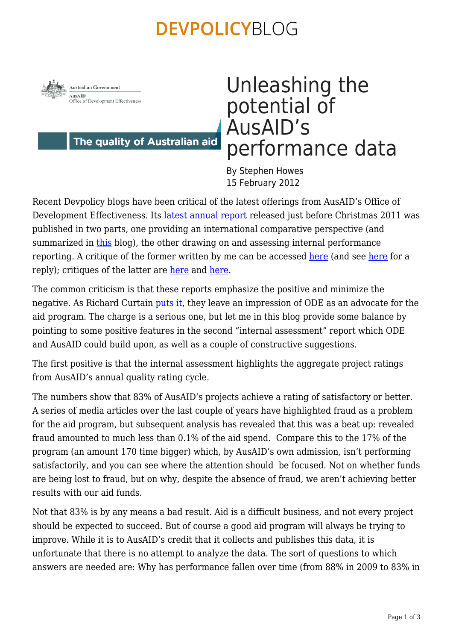### **DEVPOLICYBLOG**



The quality of Australian aid

# Unleashing the potential of AusAID's performance data

By Stephen Howes 15 February 2012

Recent Devpolicy blogs have been critical of the latest offerings from AusAID's Office of Development Effectiveness. Its [latest annual report](http://www.ode.ausaid.gov.au/publications/arde.html) released just before Christmas 2011 was published in two parts, one providing an international comparative perspective (and summarized in [this](https://devpolicy.org/fighting-for-success-in-fragile-states/) blog), the other drawing on and assessing internal performance reporting. A critique of the former written by me can be accessed [here](https://devpolicy.org/is-australian-aid-world-standard-problems-with-recent-analysis-from-brookings-and-ausaid/) (and see [here](https://devpolicy.org/is-australian-aid-world-standard-reply-brookings/) for a reply); critiques of the latter are [here](https://devpolicy.org/are-ausaid’s-performance-systems-really-that-good/) and [here](https://devpolicy.org/evaluation-or-advocacy-ausaids-latest-performance-review/).

The common criticism is that these reports emphasize the positive and minimize the negative. As Richard Curtain [puts it,](https://devpolicy.org/evaluation-or-advocacy-ausaids-latest-performance-review/) they leave an impression of ODE as an advocate for the aid program. The charge is a serious one, but let me in this blog provide some balance by pointing to some positive features in the second "internal assessment" report which ODE and AusAID could build upon, as well as a couple of constructive suggestions.

The first positive is that the internal assessment highlights the aggregate project ratings from AusAID's annual quality rating cycle.

The numbers show that 83% of AusAID's projects achieve a rating of satisfactory or better. A series of media articles over the last couple of years have highlighted fraud as a problem for the aid program, but subsequent analysis has revealed that this was a beat up: revealed fraud amounted to much less than 0.1% of the aid spend. Compare this to the 17% of the program (an amount 170 time bigger) which, by AusAID's own admission, isn't performing satisfactorily, and you can see where the attention should be focused. Not on whether funds are being lost to fraud, but on why, despite the absence of fraud, we aren't achieving better results with our aid funds.

Not that 83% is by any means a bad result. Aid is a difficult business, and not every project should be expected to succeed. But of course a good aid program will always be trying to improve. While it is to AusAID's credit that it collects and publishes this data, it is unfortunate that there is no attempt to analyze the data. The sort of questions to which answers are needed are: Why has performance fallen over time (from 88% in 2009 to 83% in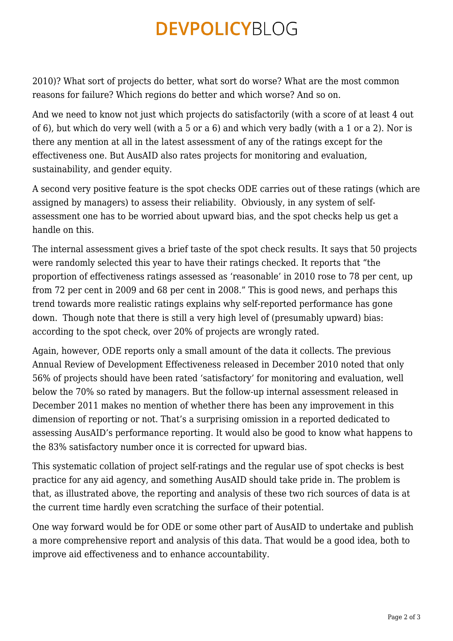## **DEVPOLICYBLOG**

2010)? What sort of projects do better, what sort do worse? What are the most common reasons for failure? Which regions do better and which worse? And so on.

And we need to know not just which projects do satisfactorily (with a score of at least 4 out of 6), but which do very well (with a 5 or a 6) and which very badly (with a 1 or a 2). Nor is there any mention at all in the latest assessment of any of the ratings except for the effectiveness one. But AusAID also rates projects for monitoring and evaluation, sustainability, and gender equity.

A second very positive feature is the spot checks ODE carries out of these ratings (which are assigned by managers) to assess their reliability. Obviously, in any system of selfassessment one has to be worried about upward bias, and the spot checks help us get a handle on this.

The internal assessment gives a brief taste of the spot check results. It says that 50 projects were randomly selected this year to have their ratings checked. It reports that "the proportion of effectiveness ratings assessed as 'reasonable' in 2010 rose to 78 per cent, up from 72 per cent in 2009 and 68 per cent in 2008." This is good news, and perhaps this trend towards more realistic ratings explains why self-reported performance has gone down. Though note that there is still a very high level of (presumably upward) bias: according to the spot check, over 20% of projects are wrongly rated.

Again, however, ODE reports only a small amount of the data it collects. The previous Annual Review of Development Effectiveness released in December 2010 noted that only 56% of projects should have been rated 'satisfactory' for monitoring and evaluation, well below the 70% so rated by managers. But the follow-up internal assessment released in December 2011 makes no mention of whether there has been any improvement in this dimension of reporting or not. That's a surprising omission in a reported dedicated to assessing AusAID's performance reporting. It would also be good to know what happens to the 83% satisfactory number once it is corrected for upward bias.

This systematic collation of project self-ratings and the regular use of spot checks is best practice for any aid agency, and something AusAID should take pride in. The problem is that, as illustrated above, the reporting and analysis of these two rich sources of data is at the current time hardly even scratching the surface of their potential.

One way forward would be for ODE or some other part of AusAID to undertake and publish a more comprehensive report and analysis of this data. That would be a good idea, both to improve aid effectiveness and to enhance accountability.